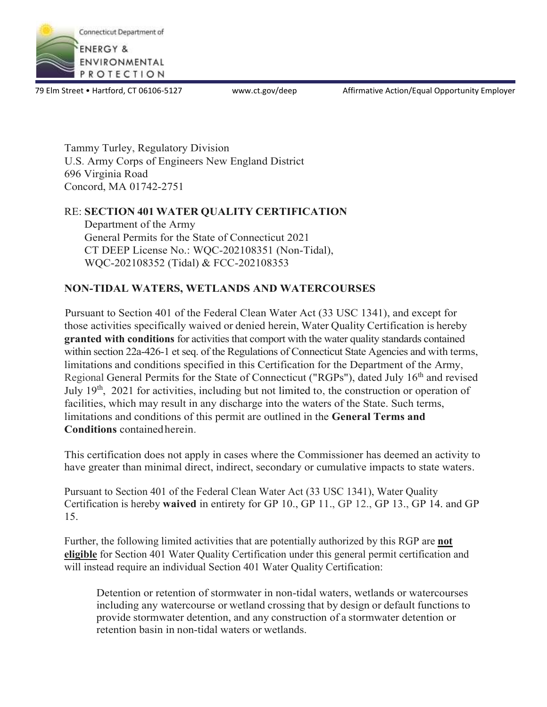

79 Elm Street • Hartford, CT 06106-5127 www.ct.gov/deep Affirmative Action/Equal Opportunity Employer

Tammy Turley, Regulatory Division U.S. Army Corps of Engineers New England District 696 Virginia Road Concord, MA 01742-2751

#### RE: **SECTION 401 WATER QUALITY CERTIFICATION**

Department of the Army General Permits for the State of Connecticut 2021 CT DEEP License No.: WQC-202108351 (Non-Tidal), WQC-202108352 (Tidal) & FCC-202108353

## **NON-TIDAL WATERS, WETLANDS AND WATERCOURSES**

Pursuant to Section 401 of the Federal Clean Water Act (33 USC 1341), and except for those activities specifically waived or denied herein, Water Quality Certification is hereby **granted with conditions** for activities that comport with the water quality standards contained within section 22a-426-1 et seq. of the Regulations of Connecticut State Agencies and with terms, limitations and conditions specified in this Certification for the Department of the Army, Regional General Permits for the State of Connecticut ("RGPs"), dated July 16<sup>th</sup> and revised July 19th, 2021 for activities, including but not limited to, the construction or operation of facilities, which may result in any discharge into the waters of the State. Such terms, limitations and conditions of this permit are outlined in the **General Terms and Conditions** containedherein.

This certification does not apply in cases where the Commissioner has deemed an activity to have greater than minimal direct, indirect, secondary or cumulative impacts to state waters.

Pursuant to Section 401 of the Federal Clean Water Act (33 USC 1341), Water Quality Certification is hereby **waived** in entirety for GP 10., GP 11., GP 12., GP 13., GP 14. and GP 15.

Further, the following limited activities that are potentially authorized by this RGP are **not eligible** for Section 401 Water Quality Certification under this general permit certification and will instead require an individual Section 401 Water Quality Certification:

Detention or retention of stormwater in non-tidal waters, wetlands or watercourses including any watercourse or wetland crossing that by design or default functions to provide stormwater detention, and any construction of a stormwater detention or retention basin in non-tidal waters or wetlands.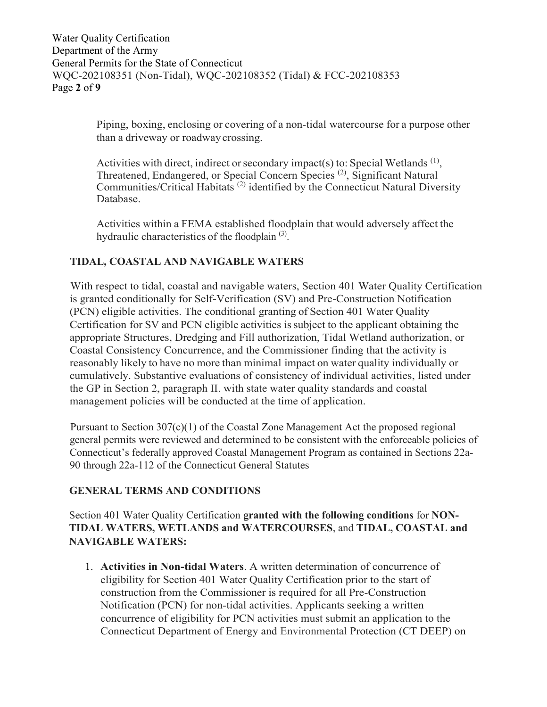Water Quality Certification Department of the Army General Permits for the State of Connecticut WQC-202108351 (Non-Tidal), WQC-202108352 (Tidal) & FCC-202108353 Page **2** of **9**

> Piping, boxing, enclosing or covering of a non-tidal watercourse for a purpose other than a driveway or roadwaycrossing.

Activities with direct, indirect or secondary impact(s) to: Special Wetlands<sup>(1)</sup>, Threatened, Endangered, or Special Concern Species<sup>(2)</sup>, Significant Natural Communities/Critical Habitats (2) identified by the Connecticut Natural Diversity Database.

Activities within a FEMA established floodplain that would adversely affect the hydraulic characteristics of the floodplain<sup>(3)</sup>.

# **TIDAL, COASTAL AND NAVIGABLE WATERS**

With respect to tidal, coastal and navigable waters, Section 401 Water Quality Certification is granted conditionally for Self-Verification (SV) and Pre-Construction Notification (PCN) eligible activities. The conditional granting of Section 401 Water Quality Certification for SV and PCN eligible activities issubject to the applicant obtaining the appropriate Structures, Dredging and Fill authorization, Tidal Wetland authorization, or Coastal Consistency Concurrence, and the Commissioner finding that the activity is reasonably likely to have no more than minimal impact on water quality individually or cumulatively. Substantive evaluations of consistency of individual activities, listed under the GP in Section 2, paragraph II. with state water quality standards and coastal management policies will be conducted at the time of application.

Pursuant to Section 307(c)(1) of the Coastal Zone Management Act the proposed regional general permits were reviewed and determined to be consistent with the enforceable policies of Connecticut's federally approved Coastal Management Program as contained in Sections 22a-90 through 22a-112 of the Connecticut General Statutes

## **GENERAL TERMS AND CONDITIONS**

Section 401 Water Quality Certification **granted with the following conditions** for **NON-TIDAL WATERS, WETLANDS and WATERCOURSES**, and **TIDAL, COASTAL and NAVIGABLE WATERS:**

1. **Activities in Non-tidal Waters**. A written determination of concurrence of eligibility for Section 401 Water Quality Certification prior to the start of construction from the Commissioner is required for all Pre-Construction Notification (PCN) for non-tidal activities. Applicants seeking a written concurrence of eligibility for PCN activities must submit an application to the Connecticut Department of Energy and Environmental Protection (CT DEEP) on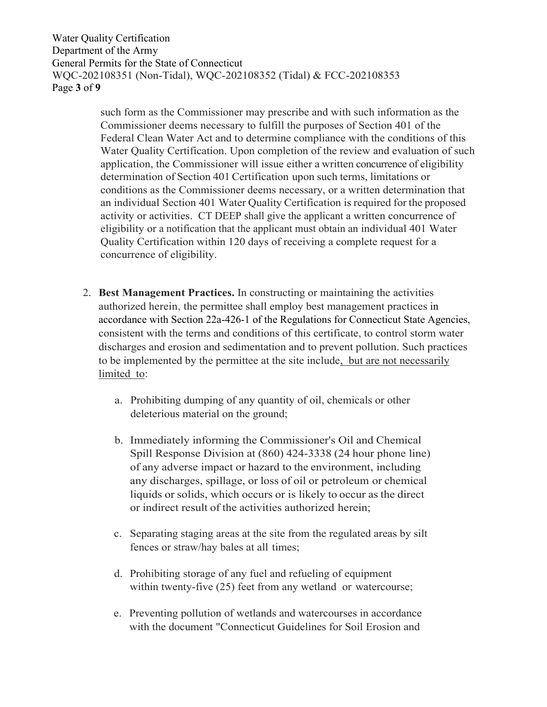Water Quality Certification Department of the Army General Permits for the State of Connecticut WQC-202108351 (Non-Tidal), WQC-202108352 (Tidal) & FCC-202108353 Page **3** of **9**

> such form as the Commissioner may prescribe and with such information as the Commissioner deems necessary to fulfill the purposes of Section 401 of the Federal Clean Water Act and to determine compliance with the conditions of this Water Quality Certification. Upon completion of the review and evaluation of such application, the Commissioner will issue either a written concurrence of eligibility determination of Section 401 Certification upon such terms, limitations or conditions as the Commissioner deems necessary, or a written determination that an individual Section 401 Water Quality Certification is required for the proposed activity or activities. CT DEEP shall give the applicant a written concurrence of eligibility or a notification that the applicant must obtain an individual 401 Water Quality Certification within 120 days of receiving a complete request for a concurrence of eligibility.

- 2. **Best Management Practices.** In constructing or maintaining the activities authorized herein, the permittee shall employ best management practices in accordance with Section 22a-426-1 of the Regulations for Connecticut State Agencies, consistent with the terms and conditions of this certificate, to control storm water discharges and erosion and sedimentation and to prevent pollution. Such practices to be implemented by the permittee at the site include, but are not necessarily limited to:
	- a. Prohibiting dumping of any quantity of oil, chemicals or other deleterious material on the ground;
	- b. Immediately informing the Commissioner's Oil and Chemical Spill Response Division at (860) 424-3338 (24 hour phone line) of any adverse impact or hazard to the environment, including any discharges, spillage, or loss of oil or petroleum or chemical liquids or solids, which occurs or is likely to occur as the direct or indirect result of the activities authorized herein;
	- c. Separating staging areas at the site from the regulated areas by silt fences or straw/hay bales at all times;
	- d. Prohibiting storage of any fuel and refueling of equipment within twenty-five (25) feet from any wetland or watercourse;
	- e. Preventing pollution of wetlands and watercourses in accordance with the document "Connecticut Guidelines for Soil Erosion and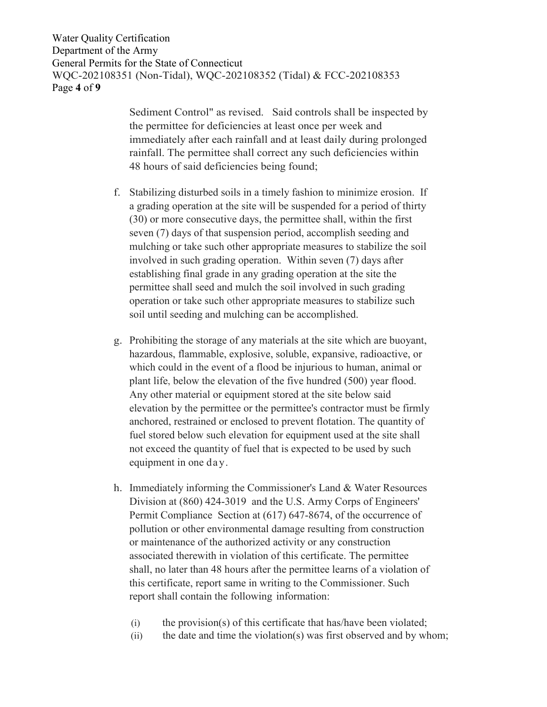Water Quality Certification Department of the Army General Permits for the State of Connecticut WQC-202108351 (Non-Tidal), WQC-202108352 (Tidal) & FCC-202108353 Page **4** of **9**

> Sediment Control" as revised. Said controls shall be inspected by the permittee for deficiencies at least once per week and immediately after each rainfall and at least daily during prolonged rainfall. The permittee shall correct any such deficiencies within 48 hours of said deficiencies being found;

- f. Stabilizing disturbed soils in a timely fashion to minimize erosion. If a grading operation at the site will be suspended for a period of thirty (30) or more consecutive days, the permittee shall, within the first seven (7) days of that suspension period, accomplish seeding and mulching or take such other appropriate measures to stabilize the soil involved in such grading operation. Within seven (7) days after establishing final grade in any grading operation at the site the permittee shall seed and mulch the soil involved in such grading operation or take such other appropriate measures to stabilize such soil until seeding and mulching can be accomplished.
- g. Prohibiting the storage of any materials at the site which are buoyant, hazardous, flammable, explosive, soluble, expansive, radioactive, or which could in the event of a flood be injurious to human, animal or plant life, below the elevation of the five hundred (500) year flood. Any other material or equipment stored at the site below said elevation by the permittee or the permittee's contractor must be firmly anchored, restrained or enclosed to prevent flotation. The quantity of fuel stored below such elevation for equipment used at the site shall not exceed the quantity of fuel that is expected to be used by such equipment in one da y.
- h. Immediately informing the Commissioner's Land & Water Resources Division at (860) 424-3019 and the U.S. Army Corps of Engineers' Permit Compliance Section at (617) 647-8674, of the occurrence of pollution or other environmental damage resulting from construction or maintenance of the authorized activity or any construction associated therewith in violation of this certificate. The permittee shall, no later than 48 hours after the permittee learns of a violation of this certificate, report same in writing to the Commissioner. Such report shall contain the following information:
	- (i) the provision(s) of this certificate that has/have been violated;
	- $(ii)$  the date and time the violation(s) was first observed and by whom;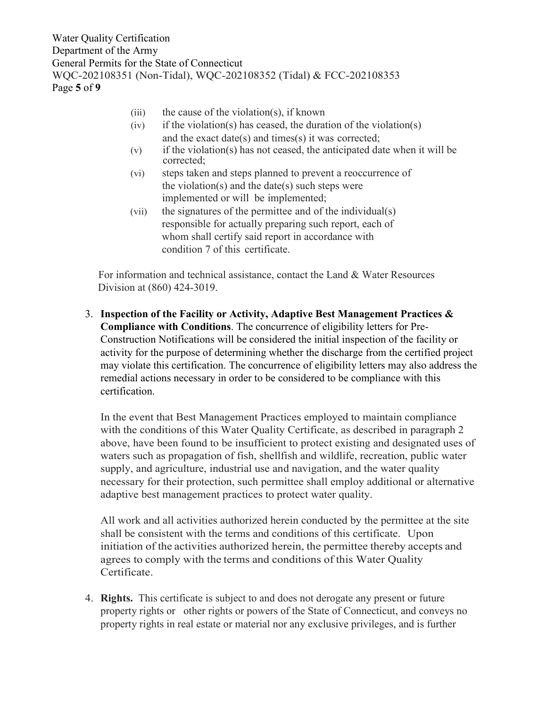Water Quality Certification Department of the Army General Permits for the State of Connecticut WQC-202108351 (Non-Tidal), WQC-202108352 (Tidal) & FCC-202108353 Page **5** of **9**

- $(iii)$  the cause of the violation(s), if known
- $(iv)$  if the violation(s) has ceased, the duration of the violation(s) and the exact date(s) and times(s) it was corrected;
- (v) if the violation(s) has not ceased, the anticipated date when it will be corrected;
- (vi) steps taken and steps planned to prevent a reoccurrence of the violation(s) and the date(s) such steps were implemented or will be implemented;
- (vii) the signatures of the permittee and of the individual(s) responsible for actually preparing such report, each of whom shall certify said report in accordance with condition 7 of this certificate.

For information and technical assistance, contact the Land & Water Resources Division at (860) 424-3019.

3. **Inspection of the Facility or Activity, Adaptive Best Management Practices & Compliance with Conditions**. The concurrence of eligibility letters for Pre-Construction Notifications will be considered the initial inspection of the facility or activity for the purpose of determining whether the discharge from the certified project may violate this certification. The concurrence of eligibility letters may also address the remedial actions necessary in order to be considered to be compliance with this certification.

In the event that Best Management Practices employed to maintain compliance with the conditions of this Water Quality Certificate, as described in paragraph 2 above, have been found to be insufficient to protect existing and designated uses of waters such as propagation of fish, shellfish and wildlife, recreation, public water supply, and agriculture, industrial use and navigation, and the water quality necessary for their protection, such permittee shall employ additional or alternative adaptive best management practices to protect water quality.

All work and all activities authorized herein conducted by the permittee at the site shall be consistent with the terms and conditions of this certificate. Upon initiation of the activities authorized herein, the permittee thereby accepts and agrees to comply with the terms and conditions of this Water Quality Certificate.

4. **Rights.** This certificate is subject to and does not derogate any present or future property rights or other rights or powers of the State of Connecticut, and conveys no property rights in real estate or material nor any exclusive privileges, and is further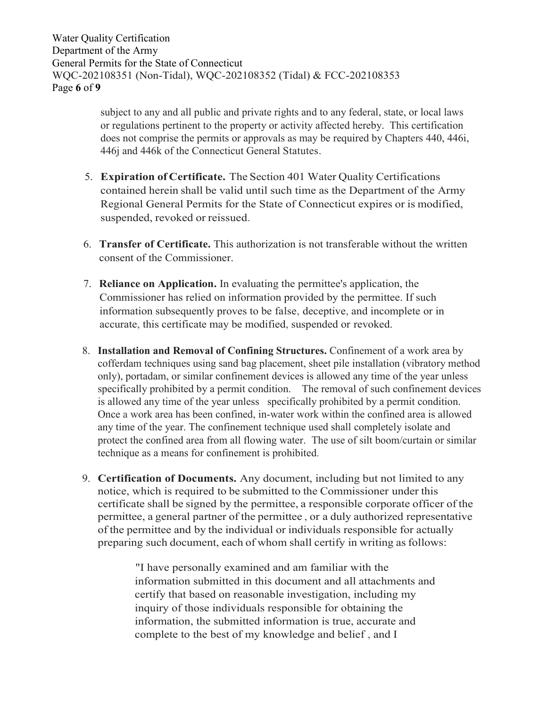Water Quality Certification Department of the Army General Permits for the State of Connecticut WQC-202108351 (Non-Tidal), WQC-202108352 (Tidal) & FCC-202108353 Page **6** of **9**

> subject to any and all public and private rights and to any federal, state, or local laws or regulations pertinent to the property or activity affected hereby. This certification does not comprise the permits or approvals as may be required by Chapters 440, 446i, 446j and 446k of the Connecticut General Statutes.

- 5. **Expiration of Certificate.** The Section 401 Water Quality Certifications contained herein shall be valid until such time as the Department of the Army Regional General Permits for the State of Connecticut expires or is modified, suspended, revoked or reissued.
- 6. **Transfer of Certificate.** This authorization is not transferable without the written consent of the Commissioner.
- 7. **Reliance on Application.** In evaluating the permittee's application, the Commissioner has relied on information provided by the permittee. If such information subsequently proves to be false, deceptive, and incomplete or in accurate, this certificate may be modified, suspended or revoked.
- 8. **Installation and Removal of Confining Structures.** Confinement of a work area by cofferdam techniques using sand bag placement, sheet pile installation (vibratory method only), portadam, or similar confinement devices is allowed any time of the year unless specifically prohibited by a permit condition. The removal of such confinement devices is allowed any time of the year unless specifically prohibited by a permit condition. Once a work area has been confined, in-water work within the confined area is allowed any time of the year. The confinement technique used shall completely isolate and protect the confined area from all flowing water. The use of silt boom/curtain or similar technique as a means for confinement is prohibited.
- 9. **Certification of Documents.** Any document, including but not limited to any notice, which is required to be submitted to the Commissioner under this certificate shall be signed by the permittee, a responsible corporate officer of the permittee, a general partner of the permittee , or a duly authorized representative of the permittee and by the individual or individuals responsible for actually preparing such document, each of whom shall certify in writing as follows:

"I have personally examined and am familiar with the information submitted in this document and all attachments and certify that based on reasonable investigation, including my inquiry of those individuals responsible for obtaining the information, the submitted information is true, accurate and complete to the best of my knowledge and belief , and I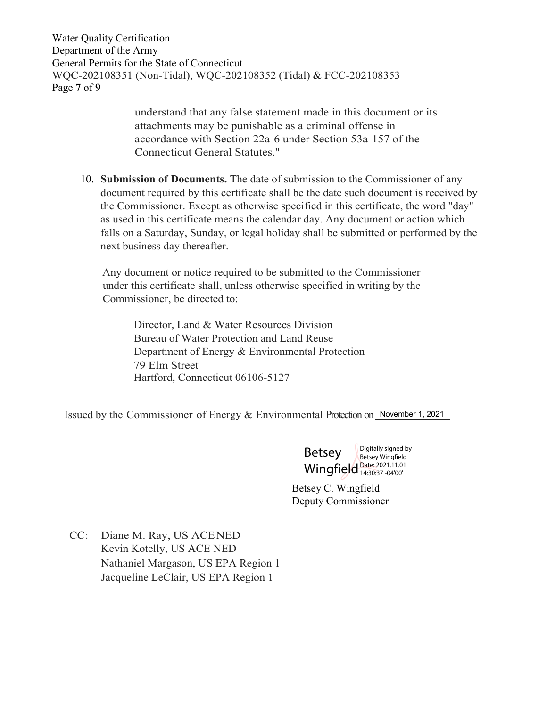Water Quality Certification Department of the Army General Permits for the State of Connecticut WQC-202108351 (Non-Tidal), WQC-202108352 (Tidal) & FCC-202108353 Page **7** of **9**

> understand that any false statement made in this document or its attachments may be punishable as a criminal offense in accordance with Section 22a-6 under Section 53a-157 of the Connecticut General Statutes."

10. **Submission of Documents.** The date of submission to the Commissioner of any document required by this certificate shall be the date such document is received by the Commissioner. Except as otherwise specified in this certificate, the word "day" as used in this certificate means the calendar day. Any document or action which falls on a Saturday, Sunday, or legal holiday shall be submitted or performed by the next business day thereafter.

Any document or notice required to be submitted to the Commissioner under this certificate shall, unless otherwise specified in writing by the Commissioner, be directed to:

Director, Land & Water Resources Division Bureau of Water Protection and Land Reuse Department of Energy & Environmental Protection 79 Elm Street Hartford, Connecticut 06106-5127

Issued by the Commissioner of Energy & Environmental Protection on November 1, 2021

Betsey Wingfield Date: 2021.11.01 Digitally signed by Betsey Wingfield 14:30:37 -04'00'

Betsey C. Wingfield Deputy Commissioner

CC: Diane M. Ray, US ACENED Kevin Kotelly, US ACE NED Nathaniel Margason, US EPA Region 1 Jacqueline LeClair, US EPA Region 1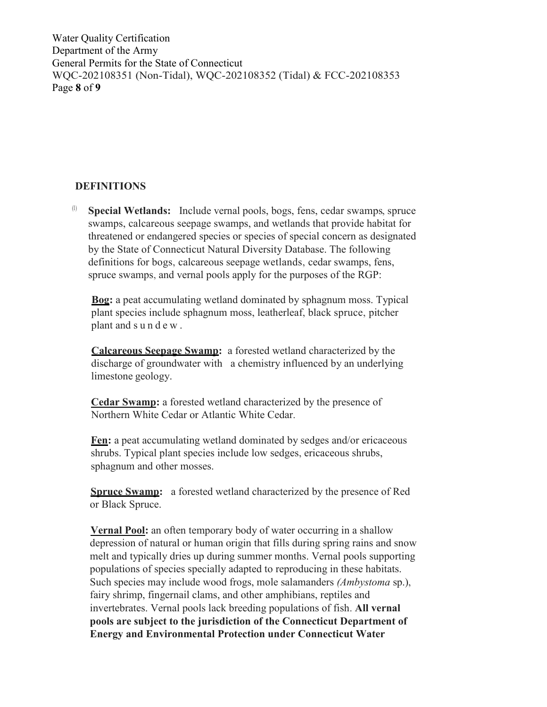Water Quality Certification Department of the Army General Permits for the State of Connecticut WQC-202108351 (Non-Tidal), WQC-202108352 (Tidal) & FCC-202108353 Page **8** of **9**

## **DEFINITIONS**

(1) **Special Wetlands:** Include vernal pools, bogs, fens, cedar swamps, spruce swamps, calcareous seepage swamps, and wetlands that provide habitat for threatened or endangered species or species of special concern as designated by the State of Connecticut Natural Diversity Database. The following definitions for bogs, calcareous seepage wetlands, cedar swamps, fens, spruce swamps, and vernal pools apply for the purposes of the RGP:

**Bog:** a peat accumulating wetland dominated by sphagnum moss. Typical plant species include sphagnum moss, leatherleaf, black spruce, pitcher plant and s u n d e w .

**Calcareous Seepage Swamp:** a forested wetland characterized by the discharge of groundwater with a chemistry influenced by an underlying limestone geology.

**Cedar Swamp:** a forested wetland characterized by the presence of Northern White Cedar or Atlantic White Cedar.

**Fen:** a peat accumulating wetland dominated by sedges and/or ericaceous shrubs. Typical plant species include low sedges, ericaceous shrubs, sphagnum and other mosses.

**Spruce Swamp:** a forested wetland characterized by the presence of Red or Black Spruce.

**Vernal Pool:** an often temporary body of water occurring in a shallow depression of natural or human origin that fills during spring rains and snow melt and typically dries up during summer months. Vernal pools supporting populations of species specially adapted to reproducing in these habitats. Such species may include wood frogs, mole salamanders *(Ambystoma* sp.), fairy shrimp, fingernail clams, and other amphibians, reptiles and invertebrates. Vernal pools lack breeding populations of fish. **All vernal pools are subject to the jurisdiction of the Connecticut Department of Energy and Environmental Protection under Connecticut Water**